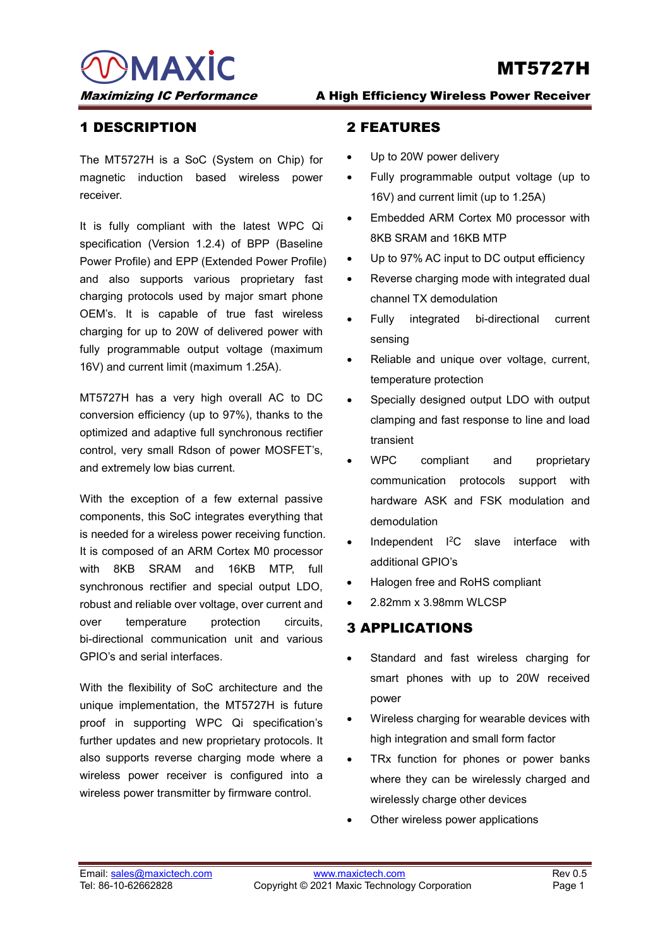MAXIC

# MT5727H

#### 1 DESCRIPTION

The MT5727H is a SoC (System on Chip) for magnetic induction based wireless power receiver.

It is fully compliant with the latest WPC Qi specification (Version 1.2.4) of BPP (Baseline Power Profile) and EPP (Extended Power Profile) and also supports various proprietary fast charging protocols used by major smart phone OEM's. It is capable of true fast wireless charging for up to 20W of delivered power with fully programmable output voltage (maximum 16V) and current limit (maximum 1.25A).

MT5727H has a very high overall AC to DC conversion efficiency (up to 97%), thanks to the optimized and adaptive full synchronous rectifier control, very small Rdson of power MOSFET's, and extremely low bias current.

With the exception of a few external passive components, this SoC integrates everything that is needed for a wireless power receiving function. It is composed of an ARM Cortex M0 processor with 8KB SRAM and 16KB MTP, full synchronous rectifier and special output LDO, robust and reliable over voltage, over current and over temperature protection circuits, bi-directional communication unit and various GPIO's and serial interfaces.

With the flexibility of SoC architecture and the unique implementation, the MT5727H is future proof in supporting WPC Qi specification's further updates and new proprietary protocols. It also supports reverse charging mode where a wireless power receiver is configured into a wireless power transmitter by firmware control.

#### Maximizing IC Performance A High Efficiency Wireless Power Receiver

#### 2 FEATURES

- Up to 20W power delivery
- Fully programmable output voltage (up to 16V) and current limit (up to 1.25A)
- Embedded ARM Cortex M0 processor with 8KB SRAM and 16KB MTP
- Up to 97% AC input to DC output efficiency
- Reverse charging mode with integrated dual channel TX demodulation
- Fully integrated bi-directional current sensing
- Reliable and unique over voltage, current, temperature protection
- Specially designed output LDO with output clamping and fast response to line and load transient
- WPC compliant and proprietary communication protocols support with hardware ASK and FSK modulation and demodulation
- Independent I2C slave interface with additional GPIO's
- Halogen free and RoHS compliant
- 2.82mm x 3.98mm WLCSP

### 3 APPLICATIONS

- Standard and fast wireless charging for smart phones with up to 20W received power
- Wireless charging for wearable devices with high integration and small form factor
- TRx function for phones or power banks where they can be wirelessly charged and wirelessly charge other devices
- Other wireless power applications